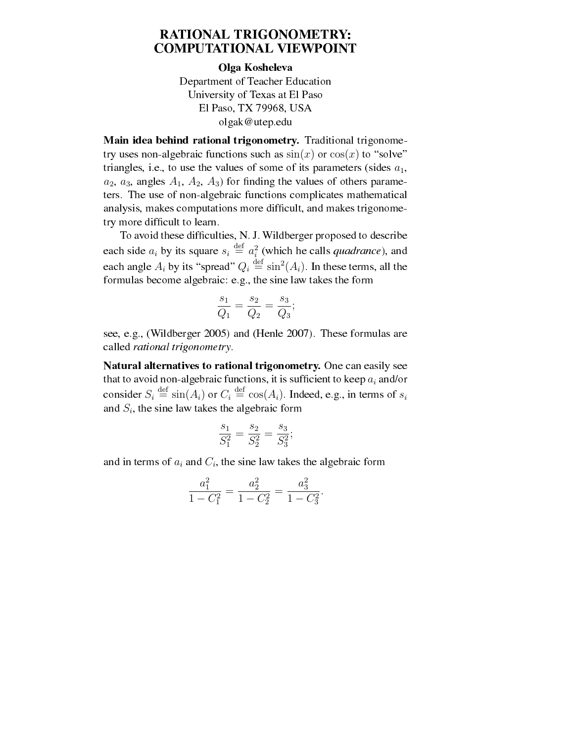## RATIONAL TRIGONOMETRY: COMPUTATIONAL VIEWPOINT

## Olga Kosheleva

Department of Teacher Education University of Texas at El Paso El Paso, TX 79968, USA olgak@utep.edu

Main idea behind rational trigonometry. Traditional trigonometry uses non-algebraic functions such as  $sin(x)$  or  $cos(x)$  to "solve" triangles, i.e., to use the values of some of its parameters (sides  $a_1$ ,  $a_2$ ,  $a_3$ , angles  $A_1$ ,  $A_2$ ,  $A_3$ ) for finding the values of others parameters. The use of non-algebraic functions complicates mathematical analysis, makes computations more difficult, and makes trigonometry more difficult to learn.

To avoid these difficulties, N. J. Wildberger proposed to describe each side  $a_i$  by its square  $s_i \stackrel{\text{def}}{=} a_i^2$  (which he calls *quadrance*), and each angle  $A_i$  by its "spread"  $Q_i \stackrel{\text{def}}{=} \sin^2(A_i)$ . In these terms, all the formulas become algebraic: e.g., the sine law takes the form

$$
\frac{s_1}{Q_1} = \frac{s_2}{Q_2} = \frac{s_3}{Q_3};
$$

see, e.g., (Wildberger 2005) and (Henle 2007). These formulas are called rational trigonometry.

Natural alternatives to rational trigonometry. One can easily see that to avoid non-algebraic functions, it is sufficient to keep  $a_i$  and/or consider  $S_i \stackrel{\text{def}}{=} \sin(A_i)$  or  $C_i \stackrel{\text{def}}{=} \cos(A_i)$ . Indeed, e.g., in terms of  $s_i$ and  $S_i$ , the sine law takes the algebraic form

$$
\frac{s_1}{S_1^2} = \frac{s_2}{S_2^2} = \frac{s_3}{S_3^2};
$$

and in terms of  $a_i$  and  $C_i$ , the sine law takes the algebraic form

$$
\frac{a_1^2}{1 - C_1^2} = \frac{a_2^2}{1 - C_2^2} = \frac{a_3^2}{1 - C_3^2}.
$$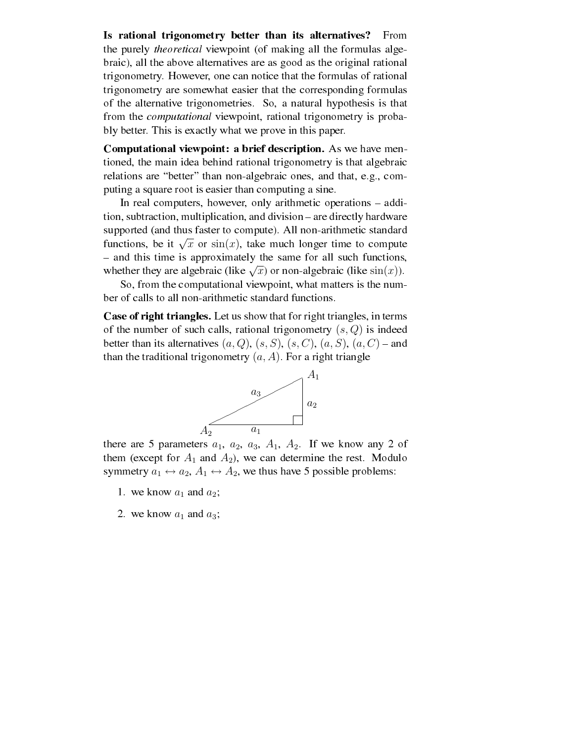Is rational trigonometry better than its alternatives? From the purely theoretical viewpoint (of making all the formulas algebraic), all the above alternatives are as good as the original rational trigonometry. However, one can notice that the formulas of rational trigonometry are somewhat easier that the corresponding formulas of the alternative trigonometries. So, a natural hypothesis is that from the computational viewpoint, rational trigonometry is probably better. This is exactly what we prove in this paper.

Computational viewpoint: a brief description. As we have mentioned, the main idea behind rational trigonometry is that algebraic relations are "better" than non-algebraic ones, and that, e.g., computing a square root is easier than computing a sine.

In real computers, however, only arithmetic operations – addition, subtraction, multiplication, and division – are directly hardware supported (and thus faster to compute). All non-arithmetic standard supported (and thus faster to compute). An non-aritmetic standard<br>functions, be it  $\sqrt{x}$  or sin(x), take much longer time to compute - and this time is approximately the same for all such functions, - and this time is approximately the same for an such functions whether they are algebraic (like  $\sqrt{x}$ ) or non-algebraic (like sin(x)).

So, from the computational viewpoint, what matters is the number of calls to all non-arithmetic standard functions.

Case of right triangles. Let us show that for right triangles, in terms of the number of such calls, rational trigonometry  $(s, Q)$  is indeed better than its alternatives  $(a, Q)$ ,  $(s, S)$ ,  $(s, C)$ ,  $(a, S)$ ,  $(a, C)$  – and than the traditional trigonometry  $(a, A)$ . For a right triangle



there are 5 parameters  $a_1$ ,  $a_2$ ,  $a_3$ ,  $A_1$ ,  $A_2$ . If we know any 2 of them (except for  $A_1$  and  $A_2$ ), we can determine the rest. Modulo symmetry  $a_1 \leftrightarrow a_2$ ,  $A_1 \leftrightarrow A_2$ , we thus have 5 possible problems:

- 1. we know  $a_1$  and  $a_2$ ;
- 2. we know  $a_1$  and  $a_3$ ;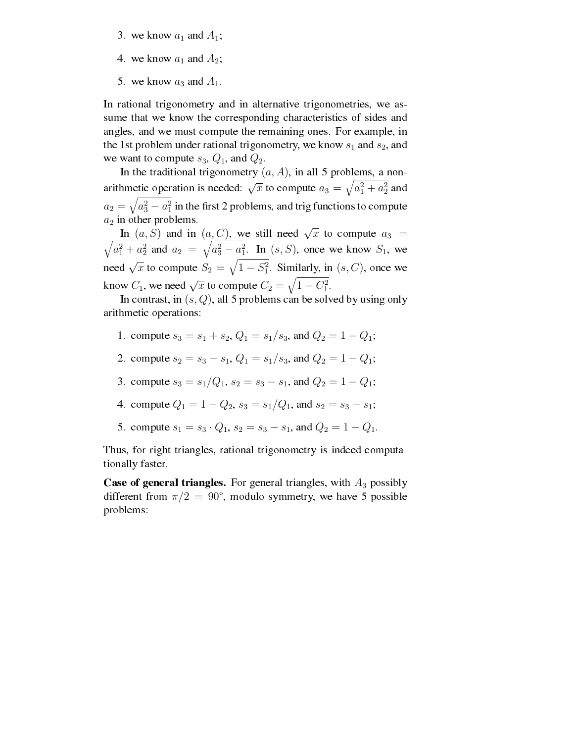- 3. we know  $a_1$  and  $A_1$ ;
- 4. we know  $a_1$  and  $A_2$ ;
- 5. we know  $a_3$  and  $A_1$ .

In rational trigonometry and in alternative trigonometries, we assume that we know the corresponding characteristics of sides and angles, and we must compute the remaining ones. For example, in the 1st problem under rational trigonometry, we know  $s_1$  and  $s_2$ , and we want to compute  $s_3$ ,  $Q_1$ , and  $Q_2$ .

In the traditional trigonometry  $(a, A)$ , in all 5 problems, a nonarithmetic operation is needed:  $\sqrt{x}$  to compute  $a_3 = \sqrt{a_1^2 + a_2^2}$  and  $a_2=\sqrt{a_3^2-a_1^2}$  in the first 2 problems, and trig functions to compute  $a_2$  in other problems.

In  $(a, S)$  and in  $(a, C)$ , we still need  $\sqrt{x}$  to compute  $a_3 =$  $\sim$  $a_1^2 + a_2^2$  and  $a_2 = \sqrt{a_3^2 - a_1^2}$ . In  $(s, S)$ , once we know  $S_1$ , we need  $\sqrt{x}$  to compute  $S_2 = \sqrt{1 - S_1^2}$ . Similarly, in  $(s, C)$ , once we know  $C_1$ , we need  $\sqrt{x}$  to compute  $C_2 = \sqrt{1 - C_1^2}$ .

In contrast, in  $(s, Q)$ , all 5 problems can be solved by using only arithmetic operations:

- 1. compute  $s_3 = s_1 + s_2$ ,  $Q_1 = s_1/s_3$ , and  $Q_2 = 1 Q_1$ ;
- 2. compute  $s_2 = s_3 s_1$ ,  $Q_1 = s_1/s_3$ , and  $Q_2 = 1 Q_1$ ;
- 3. compute  $s_3 = s_1/Q_1$ ,  $s_2 = s_3 s_1$ , and  $Q_2 = 1 Q_1$ ;
- 4. compute  $Q_1 = 1 Q_2$ ,  $s_3 = s_1/Q_1$ , and  $s_2 = s_3 s_1$ ;
- 5. compute  $s_1 = s_3 \cdot Q_1$ ,  $s_2 = s_3 s_1$ , and  $Q_2 = 1 Q_1$ .

Thus, for right triangles, rational trigonometry is indeed computationally faster.

**Case of general triangles.** For general triangles, with  $A_3$  possibly different from  $\pi/2 = 90^{\circ}$ , modulo symmetry, we have 5 possible problems: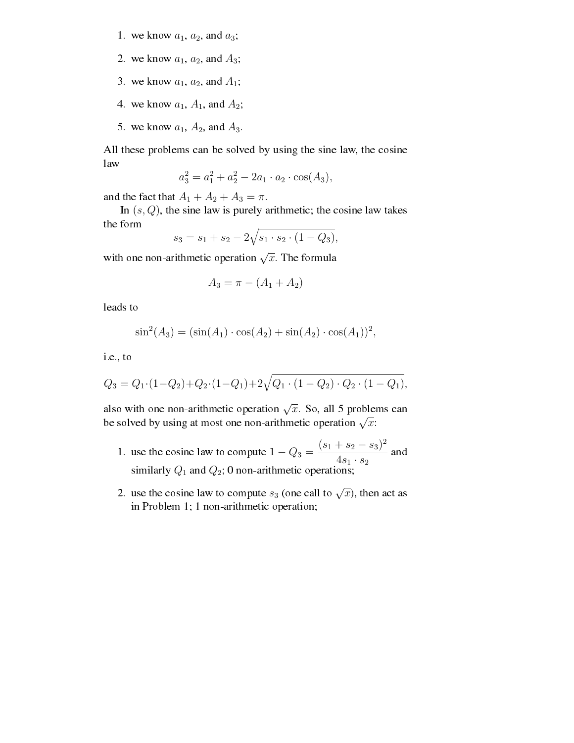- 1. we know  $a_1$ ,  $a_2$ , and  $a_3$ ;
- 2. we know  $a_1$ ,  $a_2$ , and  $A_3$ ;
- 3. we know  $a_1$ ,  $a_2$ , and  $A_1$ ;
- 4. we know  $a_1$ ,  $A_1$ , and  $A_2$ ;
- 5. we know  $a_1$ ,  $A_2$ , and  $A_3$ .

All these problems can be solved by using the sine law, the cosine law

$$
a_3^2 = a_1^2 + a_2^2 - 2a_1 \cdot a_2 \cdot \cos(A_3),
$$

and the fact that  $A_1 + A_2 + A_3 = \pi$ .

In  $(s, Q)$ , the sine law is purely arithmetic; the cosine law takes the form  $\mathcal{L}_{\mathcal{A}}$ 

$$
s_3 = s_1 + s_2 - 2\sqrt{s_1 \cdot s_2 \cdot (1 - Q_3)},
$$

with one non-arithmetic operation  $\sqrt{x}$ . The formula

$$
A_3 = \pi - (A_1 + A_2)
$$

leads to

$$
\sin^2(A_3) = (\sin(A_1) \cdot \cos(A_2) + \sin(A_2) \cdot \cos(A_1))^2,
$$

i.e., to

$$
Q_3 = Q_1 \cdot (1 - Q_2) + Q_2 \cdot (1 - Q_1) + 2\sqrt{Q_1 \cdot (1 - Q_2) \cdot Q_2 \cdot (1 - Q_1)},
$$

also with one non-arithmetic operation  $\sqrt{x}$ . So, all 5 problems can also with one non-arithmetic operation  $\sqrt{x}$ . So, an 3 proble.<br>be solved by using at most one non-arithmetic operation  $\sqrt{x}$ :

- 1. use the cosine law to compute  $1 Q_3 =$  $(s_1 + s_2 - s_3)^2$  $\frac{4s_1 \cdot s_2}{4s_1 \cdot s_2}$  and similarly  $Q_1$  and  $Q_2$ ; 0 non-arithmetic operations;
- 2. use the cosine law to compute  $s_3$  (one call to  $\sqrt{x}$ ), then act as in Problem 1; 1 non-arithmetic operation;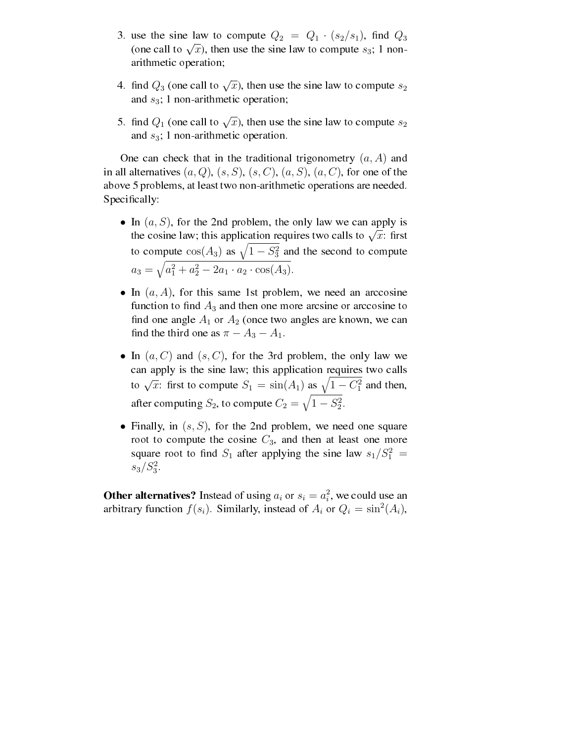- 3. use the sine law to compute  $Q_2 = Q_1 \cdot (s_2/s_1)$ , find  $Q_3$ (one call to  $\sqrt{x}$ ), then use the sine law to compute  $s_3$ ; 1 nonarithmetic operation;
- 4. find  $Q_3$  (one call to  $\sqrt{x}$ ), then use the sine law to compute  $s_2$ and  $s_3$ ; 1 non-arithmetic operation;
- 5. find  $Q_1$  (one call to  $\sqrt{x}$ ), then use the sine law to compute  $s_2$ and  $s_3$ ; 1 non-arithmetic operation.

One can check that in the traditional trigonometry  $(a, A)$  and in all alternatives  $(a, Q)$ ,  $(s, S)$ ,  $(s, C)$ ,  $(a, S)$ ,  $(a, C)$ , for one of the above 5 problems, at least two non-arithmetic operations are needed. Specifically:

- In  $(a, S)$ , for the 2nd problem, the only law we can apply is If  $(a, b)$ , for the zha problem, the only law we can apply is<br>the cosine law; this application requires two calls to  $\sqrt{x}$ : first the cosme raw, this application requires two carts to  $\sqrt{x}$ . It is<br>to compute  $cos(A_3)$  as  $\sqrt{1 - S_3^2}$  and the second to compute  $a_3 =$ q  $a_1^2 + a_2^2 - 2a_1 \cdot a_2 \cdot \cos(A_3).$
- In  $(a, A)$ , for this same 1st problem, we need an arccosine function to find  $A_3$  and then one more arcsine or arccosine to find one angle  $A_1$  or  $A_2$  (once two angles are known, we can find the third one as  $\pi - A_3 - A_1$ .
- In  $(a, C)$  and  $(s, C)$ , for the 3rd problem, the only law we can apply is the sine law; this application requires two calls can apply is the sine law, this application requires two calls<br>to  $\sqrt{x}$ : first to compute  $S_1 = \sin(A_1)$  as  $\sqrt{1 - C_1^2}$  and then, after computing  $S_2$ , to compute  $C_2 = \sqrt{1 - S_2^2}$ .
- Finally, in  $(s, S)$ , for the 2nd problem, we need one square root to compute the cosine  $C_3$ , and then at least one more square root to find  $S_1$  after applying the sine law  $s_1/S_1^2 =$  $s_3/S_3^2$ .

**Other alternatives?** Instead of using  $a_i$  or  $s_i = a_i^2$ , we could use an arbitrary function  $f(s_i)$ . Similarly, instead of  $A_i$  or  $Q_i = \sin^2(A_i)$ ,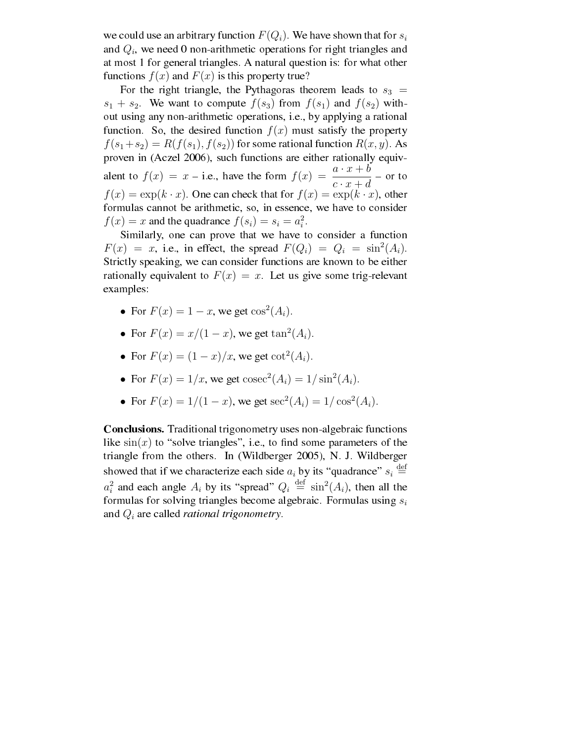we could use an arbitrary function  $F(Q_i)$ . We have shown that for  $s_i$ and  $Q_i$ , we need 0 non-arithmetic operations for right triangles and at most 1 for general triangles. A natural question is: for what other functions  $f(x)$  and  $F(x)$  is this property true?

For the right triangle, the Pythagoras theorem leads to  $s_3$  =  $s_1 + s_2$ . We want to compute  $f(s_3)$  from  $f(s_1)$  and  $f(s_2)$  without using any non-arithmetic operations, i.e., by applying a rational function. So, the desired function  $f(x)$  must satisfy the property  $f(s_1+s_2) = R(f(s_1), f(s_2))$  for some rational function  $R(x, y)$ . As proven in (Aczel 2006), such functions are either rationally equivalent to  $f(x) = x - i.e.$ , have the form  $f(x) = \frac{a \cdot x + b}{c \cdot x + d}$  - or to  $f(x) = \exp(k \cdot x)$ . One can check that for  $f(x) = \exp(k \cdot x)$ , other formulas cannot be arithmetic, so, in essence, we have to consider  $f(x) = x$  and the quadrance  $f(s_i) = s_i = a_i^2$ .

Similarly, one can prove that we have to consider a function  $F(x) = x$ , i.e., in effect, the spread  $F(Q_i) = Q_i = \sin^2(A_i)$ . Strictly speaking, we can consider functions are known to be either rationally equivalent to  $F(x) = x$ . Let us give some trig-relevant examples:

- For  $F(x) = 1 x$ , we get  $\cos^2(A_i)$ .
- For  $F(x) = x/(1-x)$ , we get  $\tan^2(A_i)$ .
- For  $F(x) = (1-x)/x$ , we get  $\cot^2(A_i)$ .
- For  $F(x) = 1/x$ , we get  $\csc^2(A_i) = 1/\sin^2(A_i)$ .
- For  $F(x) = 1/(1-x)$ , we get  $\sec^2(A_i) = 1/\cos^2(A_i)$ .

Conclusions. Traditional trigonometry uses non-algebraic functions like  $sin(x)$  to "solve triangles", i.e., to find some parameters of the triangle from the others. In (Wildberger 2005), N. J. Wildberger showed that if we characterize each side  $a_i$  by its "quadrance"  $s_i \stackrel{\text{def}}{=}$  $a_i^2$  and each angle  $A_i$  by its "spread"  $Q_i \stackrel{\text{def}}{=} \sin^2(A_i)$ , then all the formulas for solving triangles become algebraic. Formulas using  $s_i$ and  $Q_i$  are called *rational trigonometry*.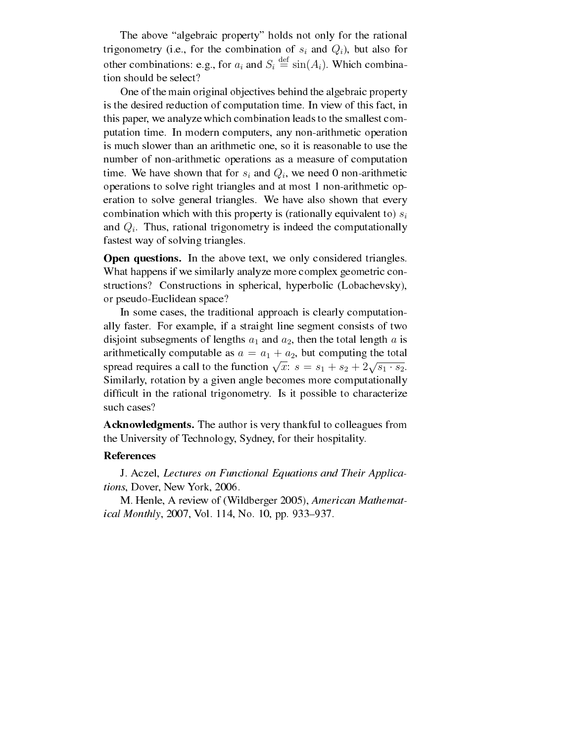The above "algebraic property" holds not only for the rational trigonometry (i.e., for the combination of  $s_i$  and  $Q_i$ ), but also for other combinations: e.g., for  $a_i$  and  $S_i \stackrel{\text{def}}{=} \sin(A_i)$ . Which combination should be select?

One of the main original objectives behind the algebraic property is the desired reduction of computation time. In view of this fact, in this paper, we analyze which combination leads to the smallest computation time. In modern computers, any non-arithmetic operation is much slower than an arithmetic one, so it is reasonable to use the number of non-arithmetic operations as a measure of computation time. We have shown that for  $s_i$  and  $Q_i$ , we need 0 non-arithmetic operations to solve right triangles and at most 1 non-arithmetic operation to solve general triangles. We have also shown that every combination which with this property is (rationally equivalent to)  $s_i$ and  $Q_i$ . Thus, rational trigonometry is indeed the computationally fastest way of solving triangles.

Open questions. In the above text, we only considered triangles. What happens if we similarly analyze more complex geometric constructions? Constructions in spherical, hyperbolic (Lobachevsky), or pseudo-Euclidean space?

In some cases, the traditional approach is clearly computationally faster. For example, if a straight line segment consists of two disjoint subsegments of lengths  $a_1$  and  $a_2$ , then the total length  $a$  is arithmetically computable as  $a = a_1 + a_2$ , but computing the total and antimetrically computable as  $a = a_1 + a_2$ , but computing the total<br>spread requires a call to the function  $\sqrt{x}$ :  $s = s_1 + s_2 + 2\sqrt{s_1 \cdot s_2}$ . Similarly, rotation by a given angle becomes more computationally difficult in the rational trigonometry. Is it possible to characterize such cases?

Acknowledgments. The author is very thankful to colleagues from the University of Technology, Sydney, for their hospitality.

## References

J. Aczel, Lectures on Functional Equations and Their Applications, Dover, New York, 2006.

M. Henle, A review of (Wildberger 2005), American Mathemat*ical Monthly*, 2007, Vol. 114, No. 10, pp. 933–937.